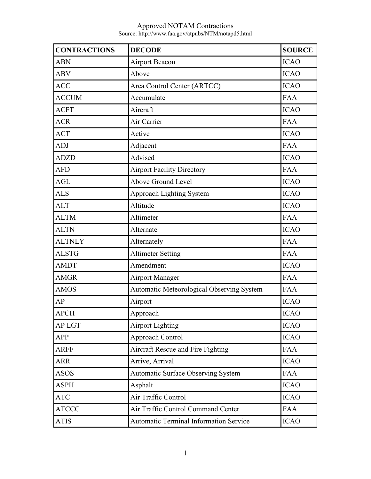| <b>CONTRACTIONS</b> | <b>DECODE</b>                                 | <b>SOURCE</b> |
|---------------------|-----------------------------------------------|---------------|
| <b>ABN</b>          | <b>Airport Beacon</b>                         | <b>ICAO</b>   |
| <b>ABV</b>          | Above                                         | <b>ICAO</b>   |
| <b>ACC</b>          | Area Control Center (ARTCC)                   | <b>ICAO</b>   |
| <b>ACCUM</b>        | Accumulate                                    | <b>FAA</b>    |
| <b>ACFT</b>         | Aircraft                                      | <b>ICAO</b>   |
| <b>ACR</b>          | Air Carrier                                   | <b>FAA</b>    |
| <b>ACT</b>          | Active                                        | <b>ICAO</b>   |
| <b>ADJ</b>          | Adjacent                                      | <b>FAA</b>    |
| <b>ADZD</b>         | Advised                                       | <b>ICAO</b>   |
| <b>AFD</b>          | <b>Airport Facility Directory</b>             | <b>FAA</b>    |
| <b>AGL</b>          | Above Ground Level                            | <b>ICAO</b>   |
| <b>ALS</b>          | Approach Lighting System                      | <b>ICAO</b>   |
| <b>ALT</b>          | Altitude                                      | <b>ICAO</b>   |
| <b>ALTM</b>         | Altimeter                                     | <b>FAA</b>    |
| <b>ALTN</b>         | Alternate                                     | <b>ICAO</b>   |
| <b>ALTNLY</b>       | Alternately                                   | <b>FAA</b>    |
| <b>ALSTG</b>        | <b>Altimeter Setting</b>                      | <b>FAA</b>    |
| <b>AMDT</b>         | Amendment                                     | <b>ICAO</b>   |
| <b>AMGR</b>         | <b>Airport Manager</b>                        | <b>FAA</b>    |
| <b>AMOS</b>         | Automatic Meteorological Observing System     | <b>FAA</b>    |
| AP                  | Airport                                       | <b>ICAO</b>   |
| <b>APCH</b>         | Approach                                      | <b>ICAO</b>   |
| <b>AP LGT</b>       | <b>Airport Lighting</b>                       | <b>ICAO</b>   |
| <b>APP</b>          | Approach Control                              | <b>ICAO</b>   |
| <b>ARFF</b>         | Aircraft Rescue and Fire Fighting             | <b>FAA</b>    |
| <b>ARR</b>          | Arrive, Arrival                               | <b>ICAO</b>   |
| <b>ASOS</b>         | Automatic Surface Observing System            | <b>FAA</b>    |
| <b>ASPH</b>         | Asphalt                                       | <b>ICAO</b>   |
| <b>ATC</b>          | Air Traffic Control                           | <b>ICAO</b>   |
| <b>ATCCC</b>        | Air Traffic Control Command Center            | <b>FAA</b>    |
| <b>ATIS</b>         | <b>Automatic Terminal Information Service</b> | <b>ICAO</b>   |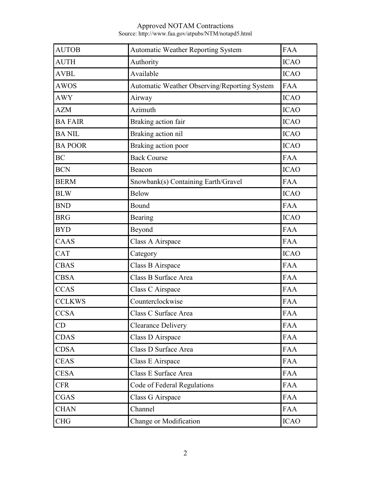| <b>AUTOB</b>   | <b>Automatic Weather Reporting System</b>           | <b>FAA</b>  |
|----------------|-----------------------------------------------------|-------------|
| <b>AUTH</b>    | Authority                                           | <b>ICAO</b> |
| <b>AVBL</b>    | Available                                           | <b>ICAO</b> |
| <b>AWOS</b>    | <b>Automatic Weather Observing/Reporting System</b> | <b>FAA</b>  |
| <b>AWY</b>     | Airway                                              | <b>ICAO</b> |
| <b>AZM</b>     | Azimuth                                             | <b>ICAO</b> |
| <b>BA FAIR</b> | Braking action fair                                 | <b>ICAO</b> |
| <b>BA NIL</b>  | Braking action nil                                  | <b>ICAO</b> |
| <b>BA POOR</b> | Braking action poor                                 | <b>ICAO</b> |
| <b>BC</b>      | <b>Back Course</b>                                  | <b>FAA</b>  |
| <b>BCN</b>     | Beacon                                              | <b>ICAO</b> |
| <b>BERM</b>    | Snowbank(s) Containing Earth/Gravel                 | <b>FAA</b>  |
| <b>BLW</b>     | <b>Below</b>                                        | <b>ICAO</b> |
| <b>BND</b>     | Bound                                               | <b>FAA</b>  |
| <b>BRG</b>     | Bearing                                             | <b>ICAO</b> |
| <b>BYD</b>     | Beyond                                              | <b>FAA</b>  |
| CAAS           | Class A Airspace                                    | <b>FAA</b>  |
| <b>CAT</b>     | Category                                            | <b>ICAO</b> |
| <b>CBAS</b>    | Class B Airspace                                    | <b>FAA</b>  |
| <b>CBSA</b>    | Class B Surface Area                                | <b>FAA</b>  |
| <b>CCAS</b>    | Class C Airspace                                    | <b>FAA</b>  |
| <b>CCLKWS</b>  | Counterclockwise                                    | <b>FAA</b>  |
| <b>CCSA</b>    | Class C Surface Area                                | <b>FAA</b>  |
| CD             | <b>Clearance Delivery</b>                           | <b>FAA</b>  |
| <b>CDAS</b>    | Class D Airspace                                    | <b>FAA</b>  |
| <b>CDSA</b>    | Class D Surface Area                                | <b>FAA</b>  |
| <b>CEAS</b>    | Class E Airspace                                    | <b>FAA</b>  |
| <b>CESA</b>    | Class E Surface Area                                | <b>FAA</b>  |
| <b>CFR</b>     | Code of Federal Regulations                         | <b>FAA</b>  |
| <b>CGAS</b>    | Class G Airspace                                    | <b>FAA</b>  |
| <b>CHAN</b>    | Channel                                             | <b>FAA</b>  |
| <b>CHG</b>     | Change or Modification                              | <b>ICAO</b> |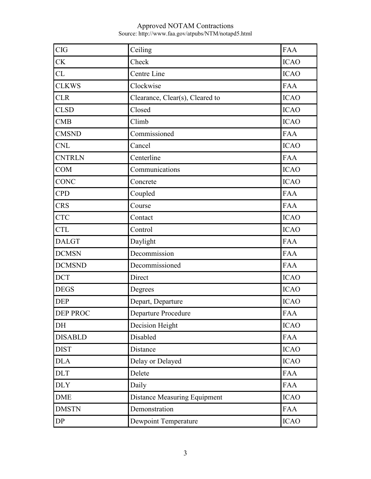| <b>CIG</b>     | Ceiling                             | <b>FAA</b>  |
|----------------|-------------------------------------|-------------|
| <b>CK</b>      | Check                               | <b>ICAO</b> |
| CL             | Centre Line                         | <b>ICAO</b> |
| <b>CLKWS</b>   | Clockwise                           | <b>FAA</b>  |
| <b>CLR</b>     | Clearance, Clear(s), Cleared to     | <b>ICAO</b> |
| <b>CLSD</b>    | Closed                              | <b>ICAO</b> |
| <b>CMB</b>     | Climb                               | <b>ICAO</b> |
| <b>CMSND</b>   | Commissioned                        | <b>FAA</b>  |
| <b>CNL</b>     | Cancel                              | <b>ICAO</b> |
| <b>CNTRLN</b>  | Centerline                          | <b>FAA</b>  |
| <b>COM</b>     | Communications                      | <b>ICAO</b> |
| <b>CONC</b>    | Concrete                            | <b>ICAO</b> |
| <b>CPD</b>     | Coupled                             | <b>FAA</b>  |
| <b>CRS</b>     | Course                              | <b>FAA</b>  |
| <b>CTC</b>     | Contact                             | <b>ICAO</b> |
| <b>CTL</b>     | Control                             | <b>ICAO</b> |
| <b>DALGT</b>   | Daylight                            | <b>FAA</b>  |
| <b>DCMSN</b>   | Decommission                        | <b>FAA</b>  |
| <b>DCMSND</b>  | Decommissioned                      | <b>FAA</b>  |
| <b>DCT</b>     | Direct                              | <b>ICAO</b> |
| <b>DEGS</b>    | Degrees                             | <b>ICAO</b> |
| <b>DEP</b>     | Depart, Departure                   | <b>ICAO</b> |
| DEP PROC       | Departure Procedure                 | <b>FAA</b>  |
| DH             | Decision Height                     | <b>ICAO</b> |
| <b>DISABLD</b> | Disabled                            | <b>FAA</b>  |
| <b>DIST</b>    | Distance                            | <b>ICAO</b> |
| <b>DLA</b>     | Delay or Delayed                    | <b>ICAO</b> |
| <b>DLT</b>     | Delete                              | <b>FAA</b>  |
| <b>DLY</b>     | Daily                               | <b>FAA</b>  |
| <b>DME</b>     | <b>Distance Measuring Equipment</b> | <b>ICAO</b> |
| <b>DMSTN</b>   | Demonstration                       | <b>FAA</b>  |
| DP             | Dewpoint Temperature                | <b>ICAO</b> |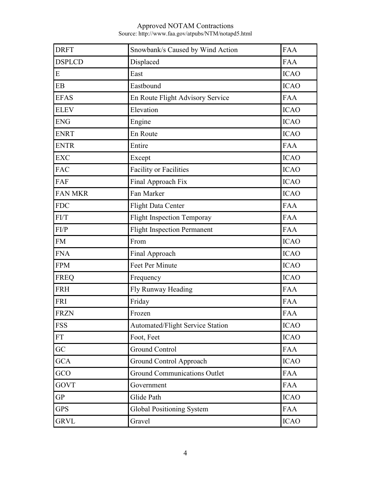| <b>DRFT</b>    | Snowbank/s Caused by Wind Action    | <b>FAA</b>  |
|----------------|-------------------------------------|-------------|
| <b>DSPLCD</b>  | Displaced                           | <b>FAA</b>  |
| E              | East                                | <b>ICAO</b> |
| EB             | Eastbound                           | <b>ICAO</b> |
| <b>EFAS</b>    | En Route Flight Advisory Service    | <b>FAA</b>  |
| <b>ELEV</b>    | Elevation                           | <b>ICAO</b> |
| <b>ENG</b>     | Engine                              | <b>ICAO</b> |
| <b>ENRT</b>    | En Route                            | <b>ICAO</b> |
| <b>ENTR</b>    | Entire                              | <b>FAA</b>  |
| <b>EXC</b>     | Except                              | <b>ICAO</b> |
| <b>FAC</b>     | <b>Facility or Facilities</b>       | <b>ICAO</b> |
| FAF            | Final Approach Fix                  | <b>ICAO</b> |
| <b>FAN MKR</b> | Fan Marker                          | <b>ICAO</b> |
| <b>FDC</b>     | <b>Flight Data Center</b>           | <b>FAA</b>  |
| FI/T           | <b>Flight Inspection Temporay</b>   | <b>FAA</b>  |
| FI/P           | <b>Flight Inspection Permanent</b>  | <b>FAA</b>  |
| <b>FM</b>      | From                                | <b>ICAO</b> |
| <b>FNA</b>     | Final Approach                      | <b>ICAO</b> |
| <b>FPM</b>     | Feet Per Minute                     | <b>ICAO</b> |
| <b>FREQ</b>    | Frequency                           | <b>ICAO</b> |
| <b>FRH</b>     | Fly Runway Heading                  | <b>FAA</b>  |
| <b>FRI</b>     | Friday                              | <b>FAA</b>  |
| <b>FRZN</b>    | Frozen                              | <b>FAA</b>  |
| <b>FSS</b>     | Automated/Flight Service Station    | <b>ICAO</b> |
| FT             | Foot, Feet                          | <b>ICAO</b> |
| GC             | <b>Ground Control</b>               | <b>FAA</b>  |
| <b>GCA</b>     | Ground Control Approach             | <b>ICAO</b> |
| GCO            | <b>Ground Communications Outlet</b> | <b>FAA</b>  |
| <b>GOVT</b>    | Government                          | <b>FAA</b>  |
| <b>GP</b>      | Glide Path                          | <b>ICAO</b> |
| <b>GPS</b>     | <b>Global Positioning System</b>    | <b>FAA</b>  |
| <b>GRVL</b>    | Gravel                              | <b>ICAO</b> |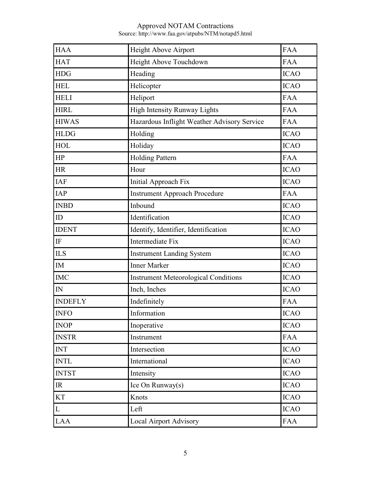| <b>HAA</b>     | Height Above Airport                        | <b>FAA</b>  |
|----------------|---------------------------------------------|-------------|
| <b>HAT</b>     | Height Above Touchdown                      | <b>FAA</b>  |
| <b>HDG</b>     | Heading                                     | <b>ICAO</b> |
| <b>HEL</b>     | Helicopter                                  | <b>ICAO</b> |
| <b>HELI</b>    | Heliport                                    | <b>FAA</b>  |
| <b>HIRL</b>    | High Intensity Runway Lights                | <b>FAA</b>  |
| <b>HIWAS</b>   | Hazardous Inflight Weather Advisory Service | <b>FAA</b>  |
| <b>HLDG</b>    | Holding                                     | <b>ICAO</b> |
| <b>HOL</b>     | Holiday                                     | <b>ICAO</b> |
| HP             | <b>Holding Pattern</b>                      | <b>FAA</b>  |
| <b>HR</b>      | Hour                                        | <b>ICAO</b> |
| <b>IAF</b>     | Initial Approach Fix                        | <b>ICAO</b> |
| <b>IAP</b>     | <b>Instrument Approach Procedure</b>        | <b>FAA</b>  |
| <b>INBD</b>    | Inbound                                     | <b>ICAO</b> |
| ID             | Identification                              | <b>ICAO</b> |
| <b>IDENT</b>   | Identify, Identifier, Identification        | <b>ICAO</b> |
| IF             | Intermediate Fix                            | <b>ICAO</b> |
| <b>ILS</b>     | <b>Instrument Landing System</b>            | <b>ICAO</b> |
| <b>IM</b>      | <b>Inner Marker</b>                         | <b>ICAO</b> |
| <b>IMC</b>     | <b>Instrument Meteorological Conditions</b> | <b>ICAO</b> |
| ${\rm IN}$     | Inch, Inches                                | <b>ICAO</b> |
| <b>INDEFLY</b> | Indefinitely                                | <b>FAA</b>  |
| <b>INFO</b>    | Information                                 | <b>ICAO</b> |
| <b>INOP</b>    | Inoperative                                 | <b>ICAO</b> |
| <b>INSTR</b>   | Instrument                                  | <b>FAA</b>  |
| <b>INT</b>     | Intersection                                | <b>ICAO</b> |
| <b>INTL</b>    | International                               | <b>ICAO</b> |
| <b>INTST</b>   | Intensity                                   | <b>ICAO</b> |
| IR             | Ice On Runway(s)                            | <b>ICAO</b> |
| <b>KT</b>      | Knots                                       | <b>ICAO</b> |
| L              | Left                                        | <b>ICAO</b> |
| <b>LAA</b>     | Local Airport Advisory                      | <b>FAA</b>  |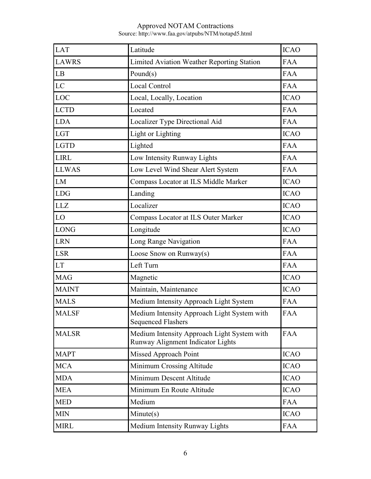| <b>LAT</b>   | Latitude                                                                         | <b>ICAO</b> |
|--------------|----------------------------------------------------------------------------------|-------------|
| <b>LAWRS</b> | <b>Limited Aviation Weather Reporting Station</b>                                | <b>FAA</b>  |
| LB           | Pound $(s)$                                                                      | <b>FAA</b>  |
| LC           | <b>Local Control</b>                                                             | <b>FAA</b>  |
| LOC          | Local, Locally, Location                                                         | <b>ICAO</b> |
| <b>LCTD</b>  | Located                                                                          | <b>FAA</b>  |
| <b>LDA</b>   | Localizer Type Directional Aid                                                   | <b>FAA</b>  |
| <b>LGT</b>   | Light or Lighting                                                                | <b>ICAO</b> |
| <b>LGTD</b>  | Lighted                                                                          | <b>FAA</b>  |
| <b>LIRL</b>  | Low Intensity Runway Lights                                                      | <b>FAA</b>  |
| <b>LLWAS</b> | Low Level Wind Shear Alert System                                                | <b>FAA</b>  |
| LM           | Compass Locator at ILS Middle Marker                                             | <b>ICAO</b> |
| <b>LDG</b>   | Landing                                                                          | <b>ICAO</b> |
| <b>LLZ</b>   | Localizer                                                                        | <b>ICAO</b> |
| LO           | <b>Compass Locator at ILS Outer Marker</b>                                       | <b>ICAO</b> |
| <b>LONG</b>  | Longitude                                                                        | <b>ICAO</b> |
| <b>LRN</b>   | Long Range Navigation                                                            | <b>FAA</b>  |
| <b>LSR</b>   | Loose Snow on Runway(s)                                                          | <b>FAA</b>  |
| <b>LT</b>    | Left Turn                                                                        | <b>FAA</b>  |
| <b>MAG</b>   | Magnetic                                                                         | <b>ICAO</b> |
| <b>MAINT</b> | Maintain, Maintenance                                                            | <b>ICAO</b> |
| <b>MALS</b>  | Medium Intensity Approach Light System                                           | <b>FAA</b>  |
| <b>MALSF</b> | Medium Intensity Approach Light System with<br><b>Sequenced Flashers</b>         | <b>FAA</b>  |
| <b>MALSR</b> | Medium Intensity Approach Light System with<br>Runway Alignment Indicator Lights | <b>FAA</b>  |
| <b>MAPT</b>  | Missed Approach Point                                                            | <b>ICAO</b> |
| <b>MCA</b>   | Minimum Crossing Altitude                                                        | <b>ICAO</b> |
| <b>MDA</b>   | Minimum Descent Altitude                                                         | <b>ICAO</b> |
| <b>MEA</b>   | Minimum En Route Altitude                                                        | <b>ICAO</b> |
| <b>MED</b>   | Medium                                                                           | <b>FAA</b>  |
| <b>MIN</b>   | Minute(s)                                                                        | <b>ICAO</b> |
| <b>MIRL</b>  | Medium Intensity Runway Lights                                                   | <b>FAA</b>  |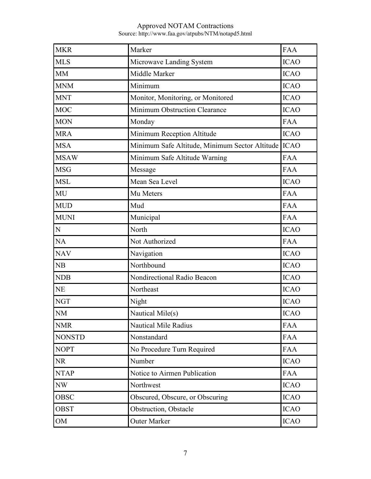| <b>MKR</b>    | Marker                                                | <b>FAA</b>  |
|---------------|-------------------------------------------------------|-------------|
| <b>MLS</b>    | Microwave Landing System                              | <b>ICAO</b> |
| <b>MM</b>     | Middle Marker                                         | <b>ICAO</b> |
| <b>MNM</b>    | Minimum                                               | <b>ICAO</b> |
| <b>MNT</b>    | Monitor, Monitoring, or Monitored                     | <b>ICAO</b> |
| <b>MOC</b>    | Minimum Obstruction Clearance                         | <b>ICAO</b> |
| <b>MON</b>    | Monday                                                | <b>FAA</b>  |
| <b>MRA</b>    | Minimum Reception Altitude                            | <b>ICAO</b> |
| <b>MSA</b>    | Minimum Safe Altitude, Minimum Sector Altitude   ICAO |             |
| <b>MSAW</b>   | Minimum Safe Altitude Warning                         | <b>FAA</b>  |
| <b>MSG</b>    | Message                                               | <b>FAA</b>  |
| <b>MSL</b>    | Mean Sea Level                                        | <b>ICAO</b> |
| MU            | Mu Meters                                             | <b>FAA</b>  |
| <b>MUD</b>    | Mud                                                   | <b>FAA</b>  |
| <b>MUNI</b>   | Municipal                                             | <b>FAA</b>  |
| N             | North                                                 | <b>ICAO</b> |
| <b>NA</b>     | Not Authorized                                        | <b>FAA</b>  |
| <b>NAV</b>    | Navigation                                            | <b>ICAO</b> |
| NB            | Northbound                                            | <b>ICAO</b> |
| <b>NDB</b>    | Nondirectional Radio Beacon                           | <b>ICAO</b> |
| <b>NE</b>     | Northeast                                             | <b>ICAO</b> |
| <b>NGT</b>    | Night                                                 | <b>ICAO</b> |
| NM            | Nautical Mile(s)                                      | <b>ICAO</b> |
| <b>NMR</b>    | <b>Nautical Mile Radius</b>                           | <b>FAA</b>  |
| <b>NONSTD</b> | Nonstandard                                           | <b>FAA</b>  |
| <b>NOPT</b>   | No Procedure Turn Required                            | <b>FAA</b>  |
| NR.           | Number                                                | <b>ICAO</b> |
| <b>NTAP</b>   | Notice to Airmen Publication                          | <b>FAA</b>  |
| NW            | Northwest                                             | <b>ICAO</b> |
| <b>OBSC</b>   | Obscured, Obscure, or Obscuring                       | <b>ICAO</b> |
| <b>OBST</b>   | Obstruction, Obstacle                                 | <b>ICAO</b> |
| OM            | Outer Marker                                          | <b>ICAO</b> |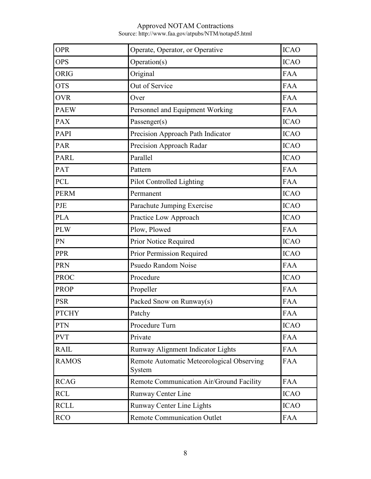| <b>OPR</b>   | Operate, Operator, or Operative                     | <b>ICAO</b> |
|--------------|-----------------------------------------------------|-------------|
| <b>OPS</b>   | Operation(s)                                        | <b>ICAO</b> |
| <b>ORIG</b>  | Original                                            | <b>FAA</b>  |
| <b>OTS</b>   | Out of Service                                      | <b>FAA</b>  |
| <b>OVR</b>   | Over                                                | <b>FAA</b>  |
| <b>PAEW</b>  | Personnel and Equipment Working                     | <b>FAA</b>  |
| <b>PAX</b>   | Passenger(s)                                        | <b>ICAO</b> |
| PAPI         | Precision Approach Path Indicator                   | <b>ICAO</b> |
| <b>PAR</b>   | Precision Approach Radar                            | <b>ICAO</b> |
| <b>PARL</b>  | Parallel                                            | <b>ICAO</b> |
| <b>PAT</b>   | Pattern                                             | <b>FAA</b>  |
| <b>PCL</b>   | Pilot Controlled Lighting                           | <b>FAA</b>  |
| <b>PERM</b>  | Permanent                                           | <b>ICAO</b> |
| PJE          | Parachute Jumping Exercise                          | <b>ICAO</b> |
| <b>PLA</b>   | Practice Low Approach                               | <b>ICAO</b> |
| <b>PLW</b>   | Plow, Plowed                                        | <b>FAA</b>  |
| PN           | Prior Notice Required                               | <b>ICAO</b> |
| <b>PPR</b>   | Prior Permission Required                           | <b>ICAO</b> |
| <b>PRN</b>   | Psuedo Random Noise                                 | <b>FAA</b>  |
| <b>PROC</b>  | Procedure                                           | <b>ICAO</b> |
| <b>PROP</b>  | Propeller                                           | <b>FAA</b>  |
| <b>PSR</b>   | Packed Snow on Runway(s)                            | <b>FAA</b>  |
| <b>PTCHY</b> | Patchy                                              | <b>FAA</b>  |
| <b>PTN</b>   | Procedure Turn                                      | <b>ICAO</b> |
| <b>PVT</b>   | Private                                             | <b>FAA</b>  |
| <b>RAIL</b>  | Runway Alignment Indicator Lights                   | <b>FAA</b>  |
| <b>RAMOS</b> | Remote Automatic Meteorological Observing<br>System | <b>FAA</b>  |
| <b>RCAG</b>  | Remote Communication Air/Ground Facility            | <b>FAA</b>  |
| <b>RCL</b>   | Runway Center Line                                  | <b>ICAO</b> |
| <b>RCLL</b>  | Runway Center Line Lights                           | <b>ICAO</b> |
| <b>RCO</b>   | <b>Remote Communication Outlet</b>                  | <b>FAA</b>  |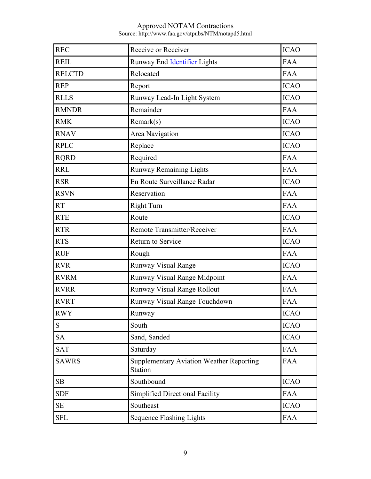| <b>REC</b>    | Receive or Receiver                                               | <b>ICAO</b> |
|---------------|-------------------------------------------------------------------|-------------|
| <b>REIL</b>   | Runway End Identifier Lights                                      | <b>FAA</b>  |
| <b>RELCTD</b> | Relocated                                                         | <b>FAA</b>  |
| <b>REP</b>    | Report                                                            | <b>ICAO</b> |
| <b>RLLS</b>   | Runway Lead-In Light System                                       | <b>ICAO</b> |
| <b>RMNDR</b>  | Remainder                                                         | <b>FAA</b>  |
| <b>RMK</b>    | Remark(s)                                                         | <b>ICAO</b> |
| <b>RNAV</b>   | Area Navigation                                                   | <b>ICAO</b> |
| <b>RPLC</b>   | Replace                                                           | <b>ICAO</b> |
| <b>RQRD</b>   | Required                                                          | <b>FAA</b>  |
| <b>RRL</b>    | <b>Runway Remaining Lights</b>                                    | <b>FAA</b>  |
| <b>RSR</b>    | En Route Surveillance Radar                                       | <b>ICAO</b> |
| <b>RSVN</b>   | Reservation                                                       | <b>FAA</b>  |
| <b>RT</b>     | <b>Right Turn</b>                                                 | <b>FAA</b>  |
| <b>RTE</b>    | Route                                                             | <b>ICAO</b> |
| <b>RTR</b>    | Remote Transmitter/Receiver                                       | <b>FAA</b>  |
| <b>RTS</b>    | Return to Service                                                 | <b>ICAO</b> |
| <b>RUF</b>    | Rough                                                             | <b>FAA</b>  |
| <b>RVR</b>    | <b>Runway Visual Range</b>                                        | <b>ICAO</b> |
| <b>RVRM</b>   | Runway Visual Range Midpoint                                      | <b>FAA</b>  |
| <b>RVRR</b>   | Runway Visual Range Rollout                                       | <b>FAA</b>  |
| <b>RVRT</b>   | Runway Visual Range Touchdown                                     | <b>FAA</b>  |
| <b>RWY</b>    | Runway                                                            | <b>ICAO</b> |
| S             | South                                                             | <b>ICAO</b> |
| <b>SA</b>     | Sand, Sanded                                                      | <b>ICAO</b> |
| <b>SAT</b>    | Saturday                                                          | <b>FAA</b>  |
| <b>SAWRS</b>  | <b>Supplementary Aviation Weather Reporting</b><br><b>Station</b> | FAA         |
| SB            | Southbound                                                        | <b>ICAO</b> |
| <b>SDF</b>    | Simplified Directional Facility                                   | <b>FAA</b>  |
| <b>SE</b>     | Southeast                                                         | <b>ICAO</b> |
| <b>SFL</b>    | <b>Sequence Flashing Lights</b>                                   | <b>FAA</b>  |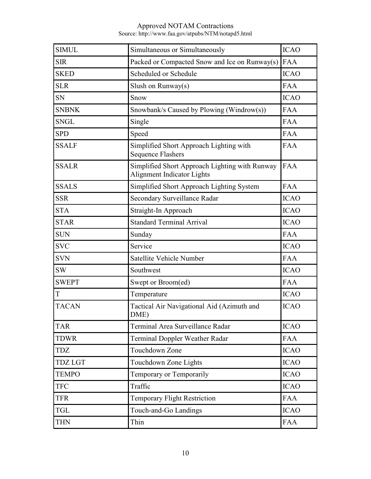| <b>SIMUL</b>   | Simultaneous or Simultaneously                                               | <b>ICAO</b> |
|----------------|------------------------------------------------------------------------------|-------------|
| <b>SIR</b>     | Packed or Compacted Snow and Ice on Runway(s)                                | <b>FAA</b>  |
| <b>SKED</b>    | Scheduled or Schedule                                                        | <b>ICAO</b> |
| <b>SLR</b>     | Slush on $Runway(s)$                                                         | <b>FAA</b>  |
| <b>SN</b>      | Snow                                                                         | <b>ICAO</b> |
| <b>SNBNK</b>   | Snowbank/s Caused by Plowing (Windrow(s))                                    | <b>FAA</b>  |
| <b>SNGL</b>    | Single                                                                       | <b>FAA</b>  |
| <b>SPD</b>     | Speed                                                                        | <b>FAA</b>  |
| <b>SSALF</b>   | Simplified Short Approach Lighting with<br><b>Sequence Flashers</b>          | <b>FAA</b>  |
| <b>SSALR</b>   | Simplified Short Approach Lighting with Runway<br>Alignment Indicator Lights | <b>FAA</b>  |
| <b>SSALS</b>   | Simplified Short Approach Lighting System                                    | <b>FAA</b>  |
| <b>SSR</b>     | Secondary Surveillance Radar                                                 | <b>ICAO</b> |
| <b>STA</b>     | Straight-In Approach                                                         | <b>ICAO</b> |
| <b>STAR</b>    | <b>Standard Terminal Arrival</b>                                             | <b>ICAO</b> |
| <b>SUN</b>     | Sunday                                                                       | <b>FAA</b>  |
| <b>SVC</b>     | Service                                                                      | <b>ICAO</b> |
| <b>SVN</b>     | Satellite Vehicle Number                                                     | <b>FAA</b>  |
| <b>SW</b>      | Southwest                                                                    | <b>ICAO</b> |
| <b>SWEPT</b>   | Swept or Broom(ed)                                                           | <b>FAA</b>  |
| T              | Temperature                                                                  | <b>ICAO</b> |
| <b>TACAN</b>   | Tactical Air Navigational Aid (Azimuth and<br>DME)                           | <b>ICAO</b> |
| <b>TAR</b>     | Terminal Area Surveillance Radar                                             | <b>ICAO</b> |
| <b>TDWR</b>    | <b>Terminal Doppler Weather Radar</b>                                        | <b>FAA</b>  |
| <b>TDZ</b>     | Touchdown Zone                                                               | <b>ICAO</b> |
| <b>TDZ LGT</b> | Touchdown Zone Lights                                                        | <b>ICAO</b> |
| <b>TEMPO</b>   | Temporary or Temporarily                                                     | <b>ICAO</b> |
| <b>TFC</b>     | Traffic                                                                      | <b>ICAO</b> |
| <b>TFR</b>     | Temporary Flight Restriction                                                 | <b>FAA</b>  |
| <b>TGL</b>     | Touch-and-Go Landings                                                        | <b>ICAO</b> |
| <b>THN</b>     | Thin                                                                         | <b>FAA</b>  |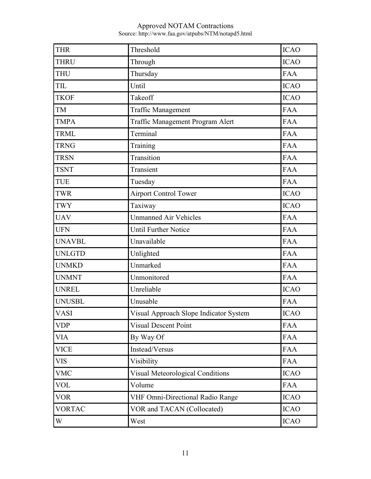| <b>THR</b>    | Threshold                               | <b>ICAO</b> |
|---------------|-----------------------------------------|-------------|
| <b>THRU</b>   | Through                                 | <b>ICAO</b> |
| <b>THU</b>    | Thursday                                | <b>FAA</b>  |
| TIL           | Until                                   | <b>ICAO</b> |
| <b>TKOF</b>   | Takeoff                                 | <b>ICAO</b> |
| TM            | <b>Traffic Management</b>               | <b>FAA</b>  |
| <b>TMPA</b>   | Traffic Management Program Alert        | <b>FAA</b>  |
| <b>TRML</b>   | Terminal                                | <b>FAA</b>  |
| <b>TRNG</b>   | Training                                | <b>FAA</b>  |
| <b>TRSN</b>   | Transition                              | <b>FAA</b>  |
| <b>TSNT</b>   | Transient                               | <b>FAA</b>  |
| <b>TUE</b>    | Tuesday                                 | <b>FAA</b>  |
| <b>TWR</b>    | Airport Control Tower                   | <b>ICAO</b> |
| <b>TWY</b>    | Taxiway                                 | <b>ICAO</b> |
| <b>UAV</b>    | <b>Unmanned Air Vehicles</b>            | <b>FAA</b>  |
| <b>UFN</b>    | <b>Until Further Notice</b>             | <b>FAA</b>  |
| <b>UNAVBL</b> | Unavailable                             | <b>FAA</b>  |
| <b>UNLGTD</b> | Unlighted                               | <b>FAA</b>  |
| <b>UNMKD</b>  | Unmarked                                | <b>FAA</b>  |
| <b>UNMNT</b>  | Unmonitored                             | <b>FAA</b>  |
| <b>UNREL</b>  | Unreliable                              | <b>ICAO</b> |
| <b>UNUSBL</b> | Unusable                                | <b>FAA</b>  |
| <b>VASI</b>   | Visual Approach Slope Indicator System  | <b>ICAO</b> |
| <b>VDP</b>    | <b>Visual Descent Point</b>             | <b>FAA</b>  |
| <b>VIA</b>    | By Way Of                               | <b>FAA</b>  |
| <b>VICE</b>   | Instead/Versus                          | <b>FAA</b>  |
| <b>VIS</b>    | Visibility                              | <b>FAA</b>  |
| <b>VMC</b>    | <b>Visual Meteorological Conditions</b> | <b>ICAO</b> |
| <b>VOL</b>    | Volume                                  | <b>FAA</b>  |
| <b>VOR</b>    | <b>VHF Omni-Directional Radio Range</b> | <b>ICAO</b> |
| <b>VORTAC</b> | VOR and TACAN (Collocated)              | <b>ICAO</b> |
| W             | West                                    | <b>ICAO</b> |